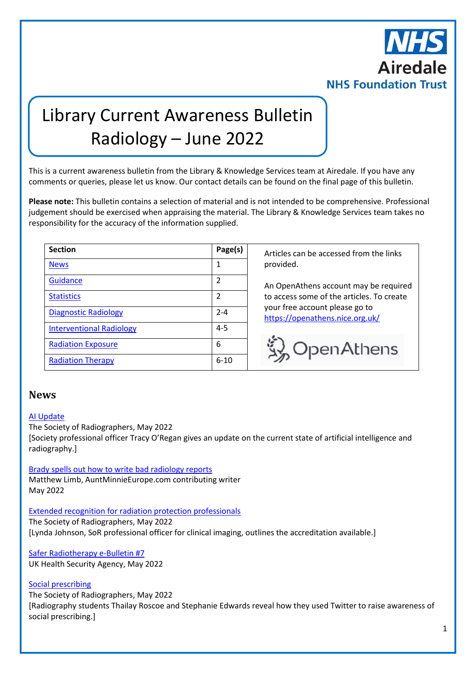

# Library Current Awareness Bulletin Radiology – June 2022

This is a current awareness bulletin from the Library & Knowledge Services team at Airedale. If you have any comments or queries, please let us know. Our contact details can be found on the final page of this bulletin.

**Please note:** This bulletin contains a selection of material and is not intended to be comprehensive. Professional judgement should be exercised when appraising the material. The Library & Knowledge Services team takes no responsibility for the accuracy of the information supplied.

| <b>Section</b>                  | Page(s)        |
|---------------------------------|----------------|
| <b>News</b>                     | 1              |
| <b>Guidance</b>                 | 2              |
| <b>Statistics</b>               | $\overline{2}$ |
| <b>Diagnostic Radiology</b>     | $2 - 4$        |
| <b>Interventional Radiology</b> | $4 - 5$        |
| <b>Radiation Exposure</b>       | 6              |
| <b>Radiation Therapy</b>        | $6 - 10$       |

**Section Page(s)** Articles can be accessed from the links provided.

An OpenAthens account may be required to access some of the articles. To create your free account please go to <https://openathens.nice.org.uk/>



## <span id="page-0-0"></span>**News**

#### [AI Update](https://www.sor.org/news/learning/ai-update)

The Society of Radiographers, May 2022 [Society professional officer Tracy O'Regan gives an update on the current state of artificial intelligence and radiography.]

[Brady spells out how to write bad radiology reports](https://www.auntminnieeurope.com/index.aspx?sec=ser&sub=def&pag=dis&ItemID=622459) Matthew Limb, AuntMinnieEurope.com contributing writer

May 2022

#### [Extended recognition for radiation protection professionals](https://www.sor.org/news/careers/extended-recognition-for-radiation-protection-prof)

The Society of Radiographers, May 2022 [Lynda Johnson, SoR professional officer for clinical imaging, outlines the accreditation available.]

[Safer Radiotherapy e-Bulletin #7](https://www.ukhsa-protectionservices.org.uk/meg/radiotherapy/safer_RT) UK Health Security Agency, May 2022

#### [Social prescribing](https://www.sor.org/news/wellbeing/social-prescribing)

The Society of Radiographers, May 2022 [Radiography students Thailay Roscoe and Stephanie Edwards reveal how they used Twitter to raise awareness of social prescribing.]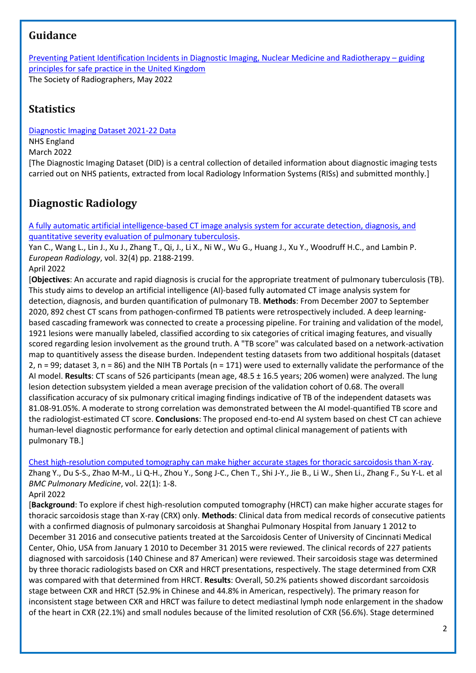# <span id="page-1-0"></span>**Guidance**

[Preventing Patient Identification Incidents in Diagnostic Imaging, Nuclear Medicine and Radiotherapy](https://www.sor.org/learning-advice/professional-body-guidance-and-publications/documents-and-publications/policy-guidance-document-library/preventing-patient-identification-incidents-in-dia) – guiding [principles for safe practice in the United Kingdom](https://www.sor.org/learning-advice/professional-body-guidance-and-publications/documents-and-publications/policy-guidance-document-library/preventing-patient-identification-incidents-in-dia) The Society of Radiographers, May 2022

# <span id="page-1-1"></span>**Statistics**

[Diagnostic Imaging Dataset 2021-22 Data](https://www.england.nhs.uk/statistics/statistical-work-areas/diagnostic-imaging-dataset/diagnostic-imaging-dataset-2021-22-data/)

NHS England March 2022

[The Diagnostic Imaging Dataset (DID) is a central collection of detailed information about diagnostic imaging tests carried out on NHS patients, extracted from local Radiology Information Systems (RISs) and submitted monthly.]

# <span id="page-1-2"></span>**Diagnostic Radiology**

[A fully automatic artificial intelligence-based CT image analysis system for accurate detection, diagnosis, and](https://link.springer.com/article/10.1007/s00330-021-08365-z)  [quantitative severity evaluation of pulmonary tuberculosis.](https://link.springer.com/article/10.1007/s00330-021-08365-z)

Yan C., Wang L., Lin J., Xu J., Zhang T., Qi, J., Li X., Ni W., Wu G., Huang J., Xu Y., Woodruff H.C., and Lambin P. *European Radiology*, vol. 32(4) pp. 2188-2199.

## April 2022

[**Objectives**: An accurate and rapid diagnosis is crucial for the appropriate treatment of pulmonary tuberculosis (TB). This study aims to develop an artificial intelligence (AI)-based fully automated CT image analysis system for detection, diagnosis, and burden quantification of pulmonary TB. **Methods**: From December 2007 to September 2020, 892 chest CT scans from pathogen-confirmed TB patients were retrospectively included. A deep learningbased cascading framework was connected to create a processing pipeline. For training and validation of the model, 1921 lesions were manually labeled, classified according to six categories of critical imaging features, and visually scored regarding lesion involvement as the ground truth. A "TB score" was calculated based on a network-activation map to quantitively assess the disease burden. Independent testing datasets from two additional hospitals (dataset 2,  $n = 99$ ; dataset 3,  $n = 86$ ) and the NIH TB Portals ( $n = 171$ ) were used to externally validate the performance of the AI model. **Results**: CT scans of 526 participants (mean age, 48.5 ± 16.5 years; 206 women) were analyzed. The lung lesion detection subsystem yielded a mean average precision of the validation cohort of 0.68. The overall classification accuracy of six pulmonary critical imaging findings indicative of TB of the independent datasets was 81.08-91.05%. A moderate to strong correlation was demonstrated between the AI model-quantified TB score and the radiologist-estimated CT score. **Conclusions**: The proposed end-to-end AI system based on chest CT can achieve human-level diagnostic performance for early detection and optimal clinical management of patients with pulmonary TB.]

[Chest high-resolution computed tomography can make higher accurate stages for thoracic sarcoidosis than X-ray.](https://bmcpulmmed.biomedcentral.com/articles/10.1186/s12890-022-01942-y) Zhang Y., Du S-S., Zhao M-M., Li Q-H., Zhou Y., Song J-C., Chen T., Shi J-Y., Jie B., Li W., Shen Li., Zhang F., Su Y-L. et al *BMC Pulmonary Medicine*, vol. 22(1): 1-8.

#### April 2022

[**Background**: To explore if chest high-resolution computed tomography (HRCT) can make higher accurate stages for thoracic sarcoidosis stage than X-ray (CRX) only. **Methods**: Clinical data from medical records of consecutive patients with a confirmed diagnosis of pulmonary sarcoidosis at Shanghai Pulmonary Hospital from January 1 2012 to December 31 2016 and consecutive patients treated at the Sarcoidosis Center of University of Cincinnati Medical Center, Ohio, USA from January 1 2010 to December 31 2015 were reviewed. The clinical records of 227 patients diagnosed with sarcoidosis (140 Chinese and 87 American) were reviewed. Their sarcoidosis stage was determined by three thoracic radiologists based on CXR and HRCT presentations, respectively. The stage determined from CXR was compared with that determined from HRCT. **Results**: Overall, 50.2% patients showed discordant sarcoidosis stage between CXR and HRCT (52.9% in Chinese and 44.8% in American, respectively). The primary reason for inconsistent stage between CXR and HRCT was failure to detect mediastinal lymph node enlargement in the shadow of the heart in CXR (22.1%) and small nodules because of the limited resolution of CXR (56.6%). Stage determined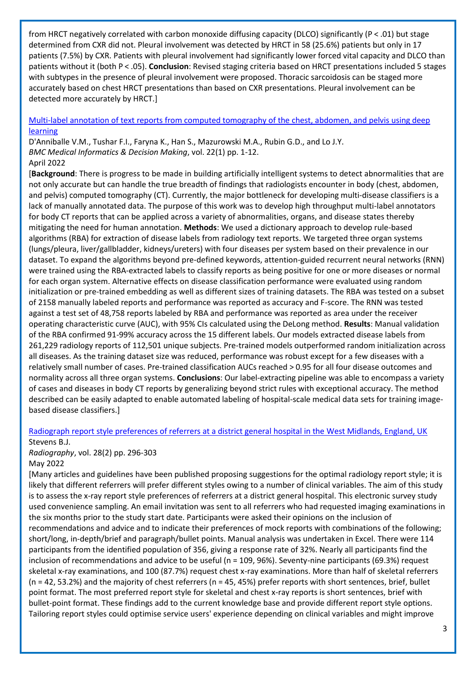from HRCT negatively correlated with carbon monoxide diffusing capacity (DLCO) significantly (P < .01) but stage determined from CXR did not. Pleural involvement was detected by HRCT in 58 (25.6%) patients but only in 17 patients (7.5%) by CXR. Patients with pleural involvement had significantly lower forced vital capacity and DLCO than patients without it (both P < .05). **Conclusion**: Revised staging criteria based on HRCT presentations included 5 stages with subtypes in the presence of pleural involvement were proposed. Thoracic sarcoidosis can be staged more accurately based on chest HRCT presentations than based on CXR presentations. Pleural involvement can be detected more accurately by HRCT.]

#### [Multi-label annotation of text reports from computed tomography of the chest, abdomen, and pelvis using deep](https://libkey.io/libraries/2554/10.1186/s12911-022-01843-4)  [learning](https://libkey.io/libraries/2554/10.1186/s12911-022-01843-4)

D'Anniballe V.M., Tushar F.I., Faryna K., Han S., Mazurowski M.A., Rubin G.D., and Lo J.Y. *BMC Medical Informatics & Decision Making*, vol. 22(1) pp. 1-12. April 2022

[**Background**: There is progress to be made in building artificially intelligent systems to detect abnormalities that are not only accurate but can handle the true breadth of findings that radiologists encounter in body (chest, abdomen, and pelvis) computed tomography (CT). Currently, the major bottleneck for developing multi-disease classifiers is a lack of manually annotated data. The purpose of this work was to develop high throughput multi-label annotators for body CT reports that can be applied across a variety of abnormalities, organs, and disease states thereby mitigating the need for human annotation. **Methods**: We used a dictionary approach to develop rule-based algorithms (RBA) for extraction of disease labels from radiology text reports. We targeted three organ systems (lungs/pleura, liver/gallbladder, kidneys/ureters) with four diseases per system based on their prevalence in our dataset. To expand the algorithms beyond pre-defined keywords, attention-guided recurrent neural networks (RNN) were trained using the RBA-extracted labels to classify reports as being positive for one or more diseases or normal for each organ system. Alternative effects on disease classification performance were evaluated using random initialization or pre-trained embedding as well as different sizes of training datasets. The RBA was tested on a subset of 2158 manually labeled reports and performance was reported as accuracy and F-score. The RNN was tested against a test set of 48,758 reports labeled by RBA and performance was reported as area under the receiver operating characteristic curve (AUC), with 95% CIs calculated using the DeLong method. **Results**: Manual validation of the RBA confirmed 91-99% accuracy across the 15 different labels. Our models extracted disease labels from 261,229 radiology reports of 112,501 unique subjects. Pre-trained models outperformed random initialization across all diseases. As the training dataset size was reduced, performance was robust except for a few diseases with a relatively small number of cases. Pre-trained classification AUCs reached > 0.95 for all four disease outcomes and normality across all three organ systems. **Conclusions**: Our label-extracting pipeline was able to encompass a variety of cases and diseases in body CT reports by generalizing beyond strict rules with exceptional accuracy. The method described can be easily adapted to enable automated labeling of hospital-scale medical data sets for training imagebased disease classifiers.]

#### [Radiograph report style preferences of referrers at a district general hospital in the West Midlands, England, UK](https://www.sciencedirect.com/science/article/pii/S1078817421001504) Stevens B.J.

*Radiography*, vol. 28(2) pp. 296-303 May 2022

[Many articles and guidelines have been published proposing suggestions for the optimal radiology report style; it is likely that different referrers will prefer different styles owing to a number of clinical variables. The aim of this study is to assess the x-ray report style preferences of referrers at a district general hospital. This electronic survey study used convenience sampling. An email invitation was sent to all referrers who had requested imaging examinations in the six months prior to the study start date. Participants were asked their opinions on the inclusion of recommendations and advice and to indicate their preferences of mock reports with combinations of the following; short/long, in-depth/brief and paragraph/bullet points. Manual analysis was undertaken in Excel. There were 114 participants from the identified population of 356, giving a response rate of 32%. Nearly all participants find the inclusion of recommendations and advice to be useful (n = 109, 96%). Seventy-nine participants (69.3%) request skeletal x-ray examinations, and 100 (87.7%) request chest x-ray examinations. More than half of skeletal referrers  $(n = 42, 53.2%)$  and the majority of chest referrers  $(n = 45, 45%)$  prefer reports with short sentences, brief, bullet point format. The most preferred report style for skeletal and chest x-ray reports is short sentences, brief with bullet-point format. These findings add to the current knowledge base and provide different report style options. Tailoring report styles could optimise service users' experience depending on clinical variables and might improve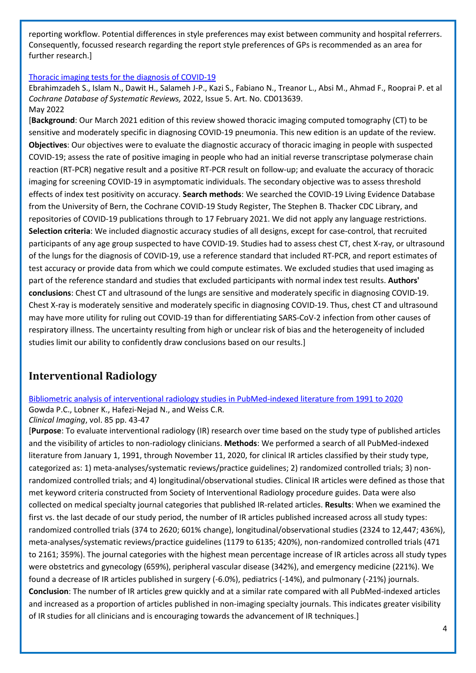reporting workflow. Potential differences in style preferences may exist between community and hospital referrers. Consequently, focussed research regarding the report style preferences of GPs is recommended as an area for further research.]

#### [Thoracic imaging tests for the diagnosis of COVID‐19](https://www.cochranelibrary.com/cdsr/doi/10.1002/14651858.CD013639.pub5/full?highlightAbstract=radiol*)

Ebrahimzadeh S., Islam N., Dawit H., Salameh J-P., Kazi S., Fabiano N., Treanor L., Absi M., Ahmad F., Rooprai P. et al *Cochrane Database of Systematic Reviews,* 2022, Issue 5. Art. No. CD013639. May 2022

[**Background**: Our March 2021 edition of this review showed thoracic imaging computed tomography (CT) to be sensitive and moderately specific in diagnosing COVID-19 pneumonia. This new edition is an update of the review. **Objectives**: Our objectives were to evaluate the diagnostic accuracy of thoracic imaging in people with suspected COVID‐19; assess the rate of positive imaging in people who had an initial reverse transcriptase polymerase chain reaction (RT‐PCR) negative result and a positive RT‐PCR result on follow‐up; and evaluate the accuracy of thoracic imaging for screening COVID‐19 in asymptomatic individuals. The secondary objective was to assess threshold effects of index test positivity on accuracy. **Search methods**: We searched the COVID‐19 Living Evidence Database from the University of Bern, the Cochrane COVID-19 Study Register, The Stephen B. Thacker CDC Library, and repositories of COVID‐19 publications through to 17 February 2021. We did not apply any language restrictions. **Selection criteria**: We included diagnostic accuracy studies of all designs, except for case‐control, that recruited participants of any age group suspected to have COVID‐19. Studies had to assess chest CT, chest X‐ray, or ultrasound of the lungs for the diagnosis of COVID‐19, use a reference standard that included RT‐PCR, and report estimates of test accuracy or provide data from which we could compute estimates. We excluded studies that used imaging as part of the reference standard and studies that excluded participants with normal index test results. **Authors' conclusions**: Chest CT and ultrasound of the lungs are sensitive and moderately specific in diagnosing COVID‐19. Chest X‐ray is moderately sensitive and moderately specific in diagnosing COVID‐19. Thus, chest CT and ultrasound may have more utility for ruling out COVID‐19 than for differentiating SARS‐CoV‐2 infection from other causes of respiratory illness. The uncertainty resulting from high or unclear risk of bias and the heterogeneity of included studies limit our ability to confidently draw conclusions based on our results.]

# <span id="page-3-0"></span>**Interventional Radiology**

[Bibliometric analysis of interventional radiology studies in PubMed-indexed literature from 1991 to 2020](https://libkey.io/libraries/2554/10.1016/j.clinimag.2022.02.024) Gowda P.C., Lobner K., Hafezi-Nejad N., and Weiss C.R.

*Clinical Imaging*, vol. 85 pp. 43-47

[**Purpose**: To evaluate interventional radiology (IR) research over time based on the study type of published articles and the visibility of articles to non-radiology clinicians. **Methods**: We performed a search of all PubMed-indexed literature from January 1, 1991, through November 11, 2020, for clinical IR articles classified by their study type, categorized as: 1) meta-analyses/systematic reviews/practice guidelines; 2) randomized controlled trials; 3) nonrandomized controlled trials; and 4) longitudinal/observational studies. Clinical IR articles were defined as those that met keyword criteria constructed from Society of Interventional Radiology procedure guides. Data were also collected on medical specialty journal categories that published IR-related articles. **Results**: When we examined the first vs. the last decade of our study period, the number of IR articles published increased across all study types: randomized controlled trials (374 to 2620; 601% change), longitudinal/observational studies (2324 to 12,447; 436%), meta-analyses/systematic reviews/practice guidelines (1179 to 6135; 420%), non-randomized controlled trials (471 to 2161; 359%). The journal categories with the highest mean percentage increase of IR articles across all study types were obstetrics and gynecology (659%), peripheral vascular disease (342%), and emergency medicine (221%). We found a decrease of IR articles published in surgery (-6.0%), pediatrics (-14%), and pulmonary (-21%) journals. **Conclusion**: The number of IR articles grew quickly and at a similar rate compared with all PubMed-indexed articles and increased as a proportion of articles published in non-imaging specialty journals. This indicates greater visibility of IR studies for all clinicians and is encouraging towards the advancement of IR techniques.]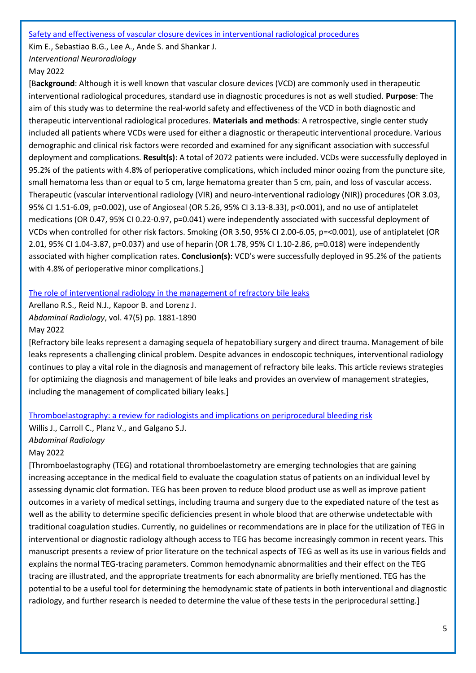[Safety and effectiveness of vascular closure devices in interventional radiological procedures](https://libkey.io/libraries/2554/10.1177/15910199221100628)

Kim E., Sebastiao B.G., Lee A., Ande S. and Shankar J.

*Interventional Neuroradiology*

#### May 2022

[B**ackground**: Although it is well known that vascular closure devices (VCD) are commonly used in therapeutic interventional radiological procedures, standard use in diagnostic procedures is not as well studied. **Purpose**: The aim of this study was to determine the real-world safety and effectiveness of the VCD in both diagnostic and therapeutic interventional radiological procedures. **Materials and methods**: A retrospective, single center study included all patients where VCDs were used for either a diagnostic or therapeutic interventional procedure. Various demographic and clinical risk factors were recorded and examined for any significant association with successful deployment and complications. **Result(s)**: A total of 2072 patients were included. VCDs were successfully deployed in 95.2% of the patients with 4.8% of perioperative complications, which included minor oozing from the puncture site, small hematoma less than or equal to 5 cm, large hematoma greater than 5 cm, pain, and loss of vascular access. Therapeutic (vascular interventional radiology (VIR) and neuro-interventional radiology (NIR)) procedures (OR 3.03, 95% CI 1.51-6.09, p=0.002), use of Angioseal (OR 5.26, 95% CI 3.13-8.33), p<0.001), and no use of antiplatelet medications (OR 0.47, 95% CI 0.22-0.97, p=0.041) were independently associated with successful deployment of VCDs when controlled for other risk factors. Smoking (OR 3.50, 95% CI 2.00-6.05, p=<0.001), use of antiplatelet (OR 2.01, 95% CI 1.04-3.87, p=0.037) and use of heparin (OR 1.78, 95% CI 1.10-2.86, p=0.018) were independently associated with higher complication rates. **Conclusion(s)**: VCD's were successfully deployed in 95.2% of the patients with 4.8% of perioperative minor complications.]

#### [The role of interventional radiology in the management of refractory bile leaks](https://search.ebscohost.com/login.aspx?direct=true&AuthType=sso&db=mdc&AN=33733336&custid=ns010294)

Arellano R.S., Reid N.J., Kapoor B. and Lorenz J. *Abdominal Radiology*, vol. 47(5) pp. 1881-1890 May 2022

[Refractory bile leaks represent a damaging sequela of hepatobiliary surgery and direct trauma. Management of bile leaks represents a challenging clinical problem. Despite advances in endoscopic techniques, interventional radiology continues to play a vital role in the diagnosis and management of refractory bile leaks. This article reviews strategies for optimizing the diagnosis and management of bile leaks and provides an overview of management strategies, including the management of complicated biliary leaks.]

#### [Thromboelastography: a review for radiologists and implications on periprocedural bleeding risk](https://link.springer.com/article/10.1007/s00261-022-03539-9)

Willis J., Carroll C., Planz V., and Galgano S.J. *Abdominal Radiology* May 2022

[Thromboelastography (TEG) and rotational thromboelastometry are emerging technologies that are gaining increasing acceptance in the medical field to evaluate the coagulation status of patients on an individual level by assessing dynamic clot formation. TEG has been proven to reduce blood product use as well as improve patient outcomes in a variety of medical settings, including trauma and surgery due to the expediated nature of the test as well as the ability to determine specific deficiencies present in whole blood that are otherwise undetectable with traditional coagulation studies. Currently, no guidelines or recommendations are in place for the utilization of TEG in interventional or diagnostic radiology although access to TEG has become increasingly common in recent years. This manuscript presents a review of prior literature on the technical aspects of TEG as well as its use in various fields and explains the normal TEG-tracing parameters. Common hemodynamic abnormalities and their effect on the TEG tracing are illustrated, and the appropriate treatments for each abnormality are briefly mentioned. TEG has the potential to be a useful tool for determining the hemodynamic state of patients in both interventional and diagnostic radiology, and further research is needed to determine the value of these tests in the periprocedural setting.]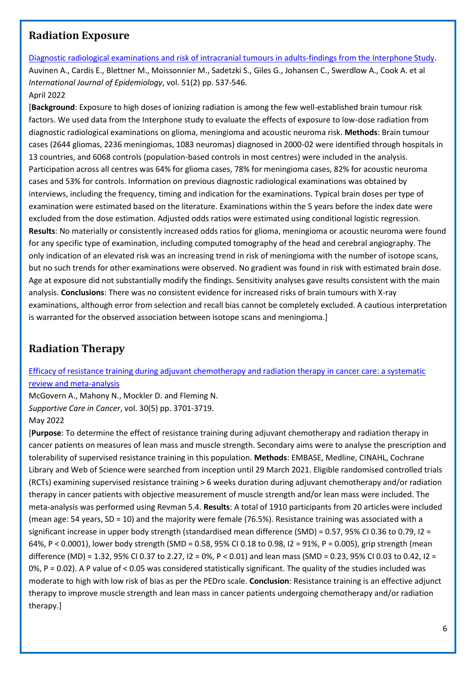## <span id="page-5-0"></span>**Radiation Exposure**

[Diagnostic radiological examinations and risk of intracranial tumours in adults-findings from the Interphone Study.](https://libkey.io/libraries/2554/10.1093/ije/dyab140) Auvinen A., Cardis E., Blettner M., Moissonnier M., Sadetzki S., Giles G., Johansen C., Swerdlow A., Cook A. et al *International Journal of Epidemiology*, vol. 51(2) pp. 537-546. April 2022

[**Background**: Exposure to high doses of ionizing radiation is among the few well-established brain tumour risk factors. We used data from the Interphone study to evaluate the effects of exposure to low-dose radiation from diagnostic radiological examinations on glioma, meningioma and acoustic neuroma risk. **Methods**: Brain tumour cases (2644 gliomas, 2236 meningiomas, 1083 neuromas) diagnosed in 2000-02 were identified through hospitals in 13 countries, and 6068 controls (population-based controls in most centres) were included in the analysis. Participation across all centres was 64% for glioma cases, 78% for meningioma cases, 82% for acoustic neuroma cases and 53% for controls. Information on previous diagnostic radiological examinations was obtained by interviews, including the frequency, timing and indication for the examinations. Typical brain doses per type of examination were estimated based on the literature. Examinations within the 5 years before the index date were excluded from the dose estimation. Adjusted odds ratios were estimated using conditional logistic regression. **Results**: No materially or consistently increased odds ratios for glioma, meningioma or acoustic neuroma were found for any specific type of examination, including computed tomography of the head and cerebral angiography. The only indication of an elevated risk was an increasing trend in risk of meningioma with the number of isotope scans, but no such trends for other examinations were observed. No gradient was found in risk with estimated brain dose. Age at exposure did not substantially modify the findings. Sensitivity analyses gave results consistent with the main analysis. **Conclusions**: There was no consistent evidence for increased risks of brain tumours with X-ray examinations, although error from selection and recall bias cannot be completely excluded. A cautious interpretation is warranted for the observed association between isotope scans and meningioma.]

# <span id="page-5-1"></span>**Radiation Therapy**

[Efficacy of resistance training during adjuvant chemotherapy and radiation therapy in cancer care: a systematic](https://libkey.io/libraries/2554/10.1007/s00520-021-06708-6)  [review and meta-analysis](https://libkey.io/libraries/2554/10.1007/s00520-021-06708-6)

McGovern A., Mahony N., Mockler D. and Fleming N. *Supportive Care in Cancer*, vol. 30(5) pp. 3701-3719.

#### May 2022

[**Purpose**: To determine the effect of resistance training during adjuvant chemotherapy and radiation therapy in cancer patients on measures of lean mass and muscle strength. Secondary aims were to analyse the prescription and tolerability of supervised resistance training in this population. **Methods**: EMBASE, Medline, CINAHL, Cochrane Library and Web of Science were searched from inception until 29 March 2021. Eligible randomised controlled trials (RCTs) examining supervised resistance training > 6 weeks duration during adjuvant chemotherapy and/or radiation therapy in cancer patients with objective measurement of muscle strength and/or lean mass were included. The meta-analysis was performed using Revman 5.4. **Results**: A total of 1910 participants from 20 articles were included (mean age: 54 years, SD = 10) and the majority were female (76.5%). Resistance training was associated with a significant increase in upper body strength (standardised mean difference (SMD) = 0.57, 95% CI 0.36 to 0.79, I2 = 64%, P < 0.0001), lower body strength (SMD = 0.58, 95% CI 0.18 to 0.98, I2 = 91%, P = 0.005), grip strength (mean difference (MD) = 1.32, 95% CI 0.37 to 2.27, I2 = 0%, P < 0.01) and lean mass (SMD = 0.23, 95% CI 0.03 to 0.42, I2 = 0%, P = 0.02). A P value of < 0.05 was considered statistically significant. The quality of the studies included was moderate to high with low risk of bias as per the PEDro scale. **Conclusion**: Resistance training is an effective adjunct therapy to improve muscle strength and lean mass in cancer patients undergoing chemotherapy and/or radiation therapy.]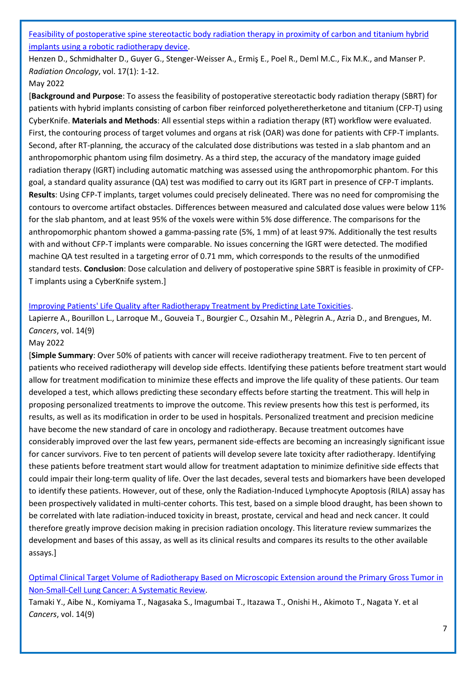[Feasibility of postoperative spine stereotactic body radiation therapy in proximity of carbon and titanium hybrid](https://libkey.io/libraries/2554/10.1186/s13014-022-02058-7)  [implants using a robotic radiotherapy device.](https://libkey.io/libraries/2554/10.1186/s13014-022-02058-7)

Henzen D., Schmidhalter D., Guyer G., Stenger-Weisser A., Ermiş E., Poel R., Deml M.C., Fix M.K., and Manser P. *Radiation Oncology*, vol. 17(1): 1-12.

#### May 2022

[**Background and Purpose**: To assess the feasibility of postoperative stereotactic body radiation therapy (SBRT) for patients with hybrid implants consisting of carbon fiber reinforced polyetheretherketone and titanium (CFP-T) using CyberKnife. **Materials and Methods**: All essential steps within a radiation therapy (RT) workflow were evaluated. First, the contouring process of target volumes and organs at risk (OAR) was done for patients with CFP-T implants. Second, after RT-planning, the accuracy of the calculated dose distributions was tested in a slab phantom and an anthropomorphic phantom using film dosimetry. As a third step, the accuracy of the mandatory image guided radiation therapy (IGRT) including automatic matching was assessed using the anthropomorphic phantom. For this goal, a standard quality assurance (QA) test was modified to carry out its IGRT part in presence of CFP-T implants. **Results**: Using CFP-T implants, target volumes could precisely delineated. There was no need for compromising the contours to overcome artifact obstacles. Differences between measured and calculated dose values were below 11% for the slab phantom, and at least 95% of the voxels were within 5% dose difference. The comparisons for the anthropomorphic phantom showed a gamma-passing rate (5%, 1 mm) of at least 97%. Additionally the test results with and without CFP-T implants were comparable. No issues concerning the IGRT were detected. The modified machine QA test resulted in a targeting error of 0.71 mm, which corresponds to the results of the unmodified standard tests. **Conclusion**: Dose calculation and delivery of postoperative spine SBRT is feasible in proximity of CFP-T implants using a CyberKnife system.]

#### [Improving Patients' Life Quality after Radiotherapy Treatment by Predicting Late Toxicities.](https://libkey.io/libraries/2554/10.3390/cancers14092097)

Lapierre A., Bourillon L., Larroque M., Gouveia T., Bourgier C., Ozsahin M., Pèlegrin A., Azria D., and Brengues, M. *Cancers*, vol. 14(9)

#### May 2022

[**Simple Summary**: Over 50% of patients with cancer will receive radiotherapy treatment. Five to ten percent of patients who received radiotherapy will develop side effects. Identifying these patients before treatment start would allow for treatment modification to minimize these effects and improve the life quality of these patients. Our team developed a test, which allows predicting these secondary effects before starting the treatment. This will help in proposing personalized treatments to improve the outcome. This review presents how this test is performed, its results, as well as its modification in order to be used in hospitals. Personalized treatment and precision medicine have become the new standard of care in oncology and radiotherapy. Because treatment outcomes have considerably improved over the last few years, permanent side-effects are becoming an increasingly significant issue for cancer survivors. Five to ten percent of patients will develop severe late toxicity after radiotherapy. Identifying these patients before treatment start would allow for treatment adaptation to minimize definitive side effects that could impair their long-term quality of life. Over the last decades, several tests and biomarkers have been developed to identify these patients. However, out of these, only the Radiation-Induced Lymphocyte Apoptosis (RILA) assay has been prospectively validated in multi-center cohorts. This test, based on a simple blood draught, has been shown to be correlated with late radiation-induced toxicity in breast, prostate, cervical and head and neck cancer. It could therefore greatly improve decision making in precision radiation oncology. This literature review summarizes the development and bases of this assay, as well as its clinical results and compares its results to the other available assays.]

[Optimal Clinical Target Volume of Radiotherapy Based on Microscopic Extension around the Primary Gross Tumor in](https://libkey.io/libraries/2554/10.3390/cancers14092318)  [Non-Small-Cell Lung Cancer: A Systematic Review.](https://libkey.io/libraries/2554/10.3390/cancers14092318)

Tamaki Y., Aibe N., Komiyama T., Nagasaka S., Imagumbai T., Itazawa T., Onishi H., Akimoto T., Nagata Y. et al *Cancers*, vol. 14(9)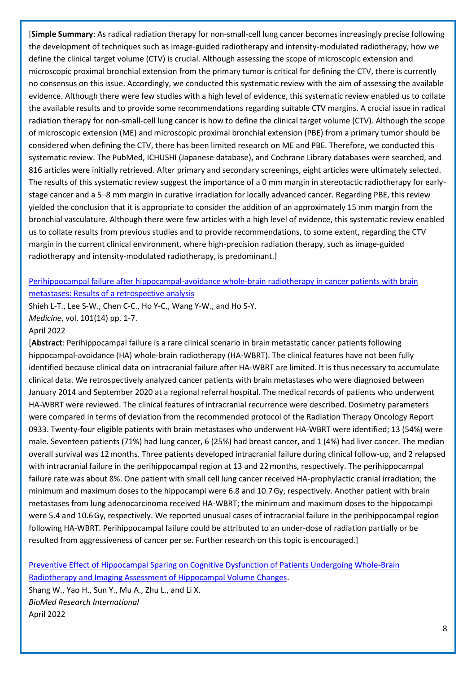[**Simple Summary**: As radical radiation therapy for non-small-cell lung cancer becomes increasingly precise following the development of techniques such as image-guided radiotherapy and intensity-modulated radiotherapy, how we define the clinical target volume (CTV) is crucial. Although assessing the scope of microscopic extension and microscopic proximal bronchial extension from the primary tumor is critical for defining the CTV, there is currently no consensus on this issue. Accordingly, we conducted this systematic review with the aim of assessing the available evidence. Although there were few studies with a high level of evidence, this systematic review enabled us to collate the available results and to provide some recommendations regarding suitable CTV margins. A crucial issue in radical radiation therapy for non-small-cell lung cancer is how to define the clinical target volume (CTV). Although the scope of microscopic extension (ME) and microscopic proximal bronchial extension (PBE) from a primary tumor should be considered when defining the CTV, there has been limited research on ME and PBE. Therefore, we conducted this systematic review. The PubMed, ICHUSHI (Japanese database), and Cochrane Library databases were searched, and 816 articles were initially retrieved. After primary and secondary screenings, eight articles were ultimately selected. The results of this systematic review suggest the importance of a 0 mm margin in stereotactic radiotherapy for earlystage cancer and a 5–8 mm margin in curative irradiation for locally advanced cancer. Regarding PBE, this review yielded the conclusion that it is appropriate to consider the addition of an approximately 15 mm margin from the bronchial vasculature. Although there were few articles with a high level of evidence, this systematic review enabled us to collate results from previous studies and to provide recommendations, to some extent, regarding the CTV margin in the current clinical environment, where high-precision radiation therapy, such as image-guided radiotherapy and intensity-modulated radiotherapy, is predominant.]

### [Perihippocampal failure after hippocampal-avoidance whole-brain radiotherapy in cancer patients with brain](https://journals.lww.com/md-journal/Fulltext/2022/04080/Perihippocampal_failure_after.12.aspx)  [metastases: Results of a retrospective analysis](https://journals.lww.com/md-journal/Fulltext/2022/04080/Perihippocampal_failure_after.12.aspx)

Shieh L-T., Lee S-W., Chen C-C., Ho Y-C., Wang Y-W., and Ho S-Y. *Medicine*, vol. 101(14) pp. 1-7.

#### April 2022

[**Abstract**: Perihippocampal failure is a rare clinical scenario in brain metastatic cancer patients following hippocampal-avoidance (HA) whole-brain radiotherapy (HA-WBRT). The clinical features have not been fully identified because clinical data on intracranial failure after HA-WBRT are limited. It is thus necessary to accumulate clinical data. We retrospectively analyzed cancer patients with brain metastases who were diagnosed between January 2014 and September 2020 at a regional referral hospital. The medical records of patients who underwent HA-WBRT were reviewed. The clinical features of intracranial recurrence were described. Dosimetry parameters were compared in terms of deviation from the recommended protocol of the Radiation Therapy Oncology Report 0933. Twenty-four eligible patients with brain metastases who underwent HA-WBRT were identified; 13 (54%) were male. Seventeen patients (71%) had lung cancer, 6 (25%) had breast cancer, and 1 (4%) had liver cancer. The median overall survival was 12 months. Three patients developed intracranial failure during clinical follow-up, and 2 relapsed with intracranial failure in the perihippocampal region at 13 and 22 months, respectively. The perihippocampal failure rate was about 8%. One patient with small cell lung cancer received HA-prophylactic cranial irradiation; the minimum and maximum doses to the hippocampi were 6.8 and 10.7 Gy, respectively. Another patient with brain metastases from lung adenocarcinoma received HA-WBRT; the minimum and maximum doses to the hippocampi were 5.4 and 10.6 Gy, respectively. We reported unusual cases of intracranial failure in the perihippocampal region following HA-WBRT. Perihippocampal failure could be attributed to an under-dose of radiation partially or be resulted from aggressiveness of cancer per se. Further research on this topic is encouraged.]

[Preventive Effect of Hippocampal Sparing on Cognitive Dysfunction of Patients Undergoing Whole-Brain](https://libkey.io/libraries/2554/10.1155/2022/4267673)  [Radiotherapy and Imaging Assessment of Hippocampal Volume Changes.](https://libkey.io/libraries/2554/10.1155/2022/4267673)

Shang W., Yao H., Sun Y., Mu A., Zhu L., and Li X. *BioMed Research International* April 2022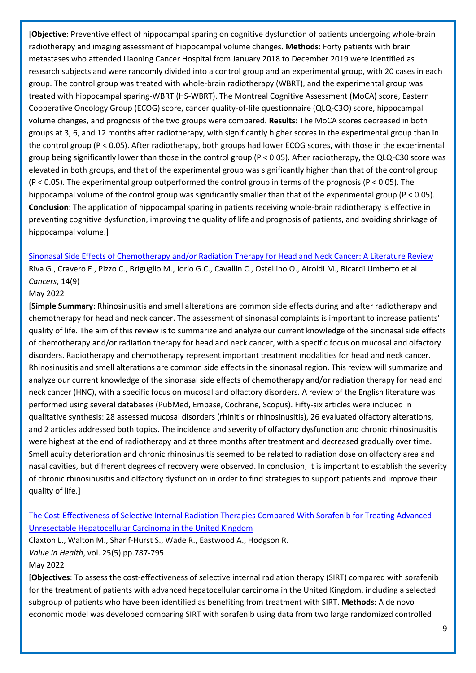[**Objective**: Preventive effect of hippocampal sparing on cognitive dysfunction of patients undergoing whole-brain radiotherapy and imaging assessment of hippocampal volume changes. **Methods**: Forty patients with brain metastases who attended Liaoning Cancer Hospital from January 2018 to December 2019 were identified as research subjects and were randomly divided into a control group and an experimental group, with 20 cases in each group. The control group was treated with whole-brain radiotherapy (WBRT), and the experimental group was treated with hippocampal sparing-WBRT (HS-WBRT). The Montreal Cognitive Assessment (MoCA) score, Eastern Cooperative Oncology Group (ECOG) score, cancer quality-of-life questionnaire (QLQ-C3O) score, hippocampal volume changes, and prognosis of the two groups were compared. **Results**: The MoCA scores decreased in both groups at 3, 6, and 12 months after radiotherapy, with significantly higher scores in the experimental group than in the control group (P < 0.05). After radiotherapy, both groups had lower ECOG scores, with those in the experimental group being significantly lower than those in the control group (P < 0.05). After radiotherapy, the QLQ-C30 score was elevated in both groups, and that of the experimental group was significantly higher than that of the control group (P < 0.05). The experimental group outperformed the control group in terms of the prognosis (P < 0.05). The hippocampal volume of the control group was significantly smaller than that of the experimental group (P < 0.05). **Conclusion**: The application of hippocampal sparing in patients receiving whole-brain radiotherapy is effective in preventing cognitive dysfunction, improving the quality of life and prognosis of patients, and avoiding shrinkage of hippocampal volume.]

[Sinonasal Side Effects of Chemotherapy and/or Radiation Therapy for Head and Neck Cancer: A Literature Review](https://libkey.io/libraries/2554/10.3390/cancers14092324) Riva G., Cravero E., Pizzo C., Briguglio M., Iorio G.C., Cavallin C., Ostellino O., Airoldi M., Ricardi Umberto et al *Cancers*, 14(9)

#### May 2022

[**Simple Summary**: Rhinosinusitis and smell alterations are common side effects during and after radiotherapy and chemotherapy for head and neck cancer. The assessment of sinonasal complaints is important to increase patients' quality of life. The aim of this review is to summarize and analyze our current knowledge of the sinonasal side effects of chemotherapy and/or radiation therapy for head and neck cancer, with a specific focus on mucosal and olfactory disorders. Radiotherapy and chemotherapy represent important treatment modalities for head and neck cancer. Rhinosinusitis and smell alterations are common side effects in the sinonasal region. This review will summarize and analyze our current knowledge of the sinonasal side effects of chemotherapy and/or radiation therapy for head and neck cancer (HNC), with a specific focus on mucosal and olfactory disorders. A review of the English literature was performed using several databases (PubMed, Embase, Cochrane, Scopus). Fifty-six articles were included in qualitative synthesis: 28 assessed mucosal disorders (rhinitis or rhinosinusitis), 26 evaluated olfactory alterations, and 2 articles addressed both topics. The incidence and severity of olfactory dysfunction and chronic rhinosinusitis were highest at the end of radiotherapy and at three months after treatment and decreased gradually over time. Smell acuity deterioration and chronic rhinosinusitis seemed to be related to radiation dose on olfactory area and nasal cavities, but different degrees of recovery were observed. In conclusion, it is important to establish the severity of chronic rhinosinusitis and olfactory dysfunction in order to find strategies to support patients and improve their quality of life.]

## [The Cost-Effectiveness of Selective Internal Radiation Therapies Compared With Sorafenib for Treating Advanced](https://libkey.io/libraries/2554/10.1016/j.jval.2021.10.009)  [Unresectable Hepatocellular Carcinoma in the United Kingdom](https://libkey.io/libraries/2554/10.1016/j.jval.2021.10.009)

Claxton L., Walton M., Sharif-Hurst S., Wade R., Eastwood A., Hodgson R. *Value in Health*, vol. 25(5) pp.787-795 May 2022

[**Objectives**: To assess the cost-effectiveness of selective internal radiation therapy (SIRT) compared with sorafenib for the treatment of patients with advanced hepatocellular carcinoma in the United Kingdom, including a selected subgroup of patients who have been identified as benefiting from treatment with SIRT. **Methods**: A de novo economic model was developed comparing SIRT with sorafenib using data from two large randomized controlled